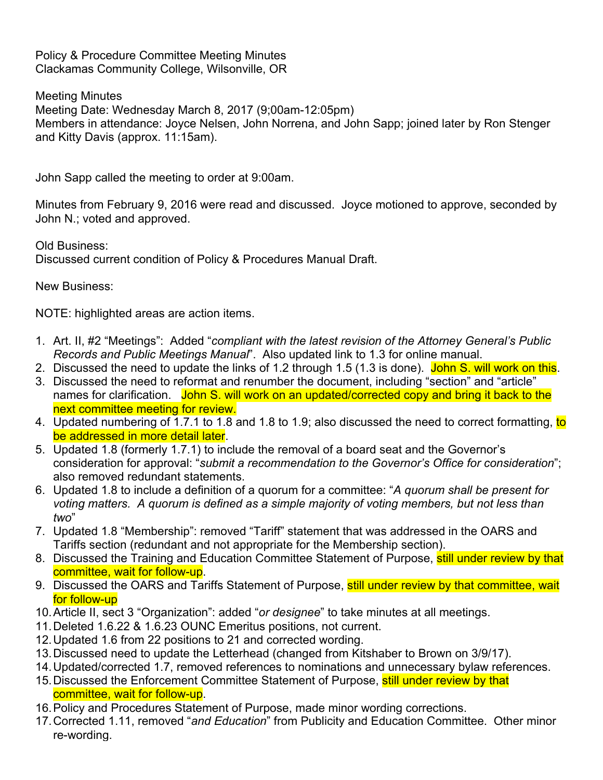Policy & Procedure Committee Meeting Minutes Clackamas Community College, Wilsonville, OR

Meeting Minutes Meeting Date: Wednesday March 8, 2017 (9;00am-12:05pm) Members in attendance: Joyce Nelsen, John Norrena, and John Sapp; joined later by Ron Stenger and Kitty Davis (approx. 11:15am).

John Sapp called the meeting to order at 9:00am.

Minutes from February 9, 2016 were read and discussed. Joyce motioned to approve, seconded by John N.; voted and approved.

Old Business: Discussed current condition of Policy & Procedures Manual Draft.

New Business:

NOTE: highlighted areas are action items.

- 1. Art. II, #2 "Meetings": Added "*compliant with the latest revision of the Attorney General's Public Records and Public Meetings Manual*". Also updated link to 1.3 for online manual.
- 2. Discussed the need to update the links of 1.2 through 1.5 (1.3 is done). John S. will work on this.
- 3. Discussed the need to reformat and renumber the document, including "section" and "article" names for clarification. John S. will work on an updated/corrected copy and bring it back to the next committee meeting for review.
- 4. Updated numbering of 1.7.1 to 1.8 and 1.8 to 1.9; also discussed the need to correct formatting, to be addressed in more detail later.
- 5. Updated 1.8 (formerly 1.7.1) to include the removal of a board seat and the Governor's consideration for approval: "*submit a recommendation to the Governor's Office for consideration*"; also removed redundant statements.
- 6. Updated 1.8 to include a definition of a quorum for a committee: "*A quorum shall be present for voting matters. A quorum is defined as a simple majority of voting members, but not less than two*"
- 7. Updated 1.8 "Membership": removed "Tariff" statement that was addressed in the OARS and Tariffs section (redundant and not appropriate for the Membership section).
- 8. Discussed the Training and Education Committee Statement of Purpose, still under review by that committee, wait for follow-up.
- 9. Discussed the OARS and Tariffs Statement of Purpose, still under review by that committee, wait for follow-up
- 10.Article II, sect 3 "Organization": added "*or designee*" to take minutes at all meetings.
- 11.Deleted 1.6.22 & 1.6.23 OUNC Emeritus positions, not current.
- 12.Updated 1.6 from 22 positions to 21 and corrected wording.
- 13.Discussed need to update the Letterhead (changed from Kitshaber to Brown on 3/9/17).
- 14.Updated/corrected 1.7, removed references to nominations and unnecessary bylaw references.
- 15. Discussed the Enforcement Committee Statement of Purpose, still under review by that committee, wait for follow-up.
- 16.Policy and Procedures Statement of Purpose, made minor wording corrections.
- 17.Corrected 1.11, removed "*and Education*" from Publicity and Education Committee. Other minor re-wording.